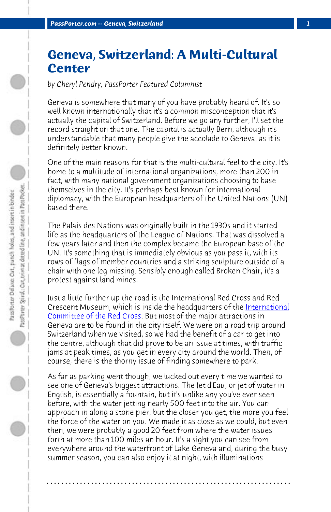*PassPorter.com -- Geneva, Switzerland 1*

## **Geneva, Switzerland: A Multi-Cultural Center**

*by Cheryl Pendry, PassPorter Featured Columnist*

Geneva is somewhere that many of you have probably heard of. It's so well known internationally that it's a common misconception that it's actually the capital of Switzerland. Before we go any further, I'll set the record straight on that one. The capital is actually Bern, although it's understandable that many people give the accolade to Geneva, as it is definitely better known.

[One of the main reasons for](http://www.micr.ch/index_e.html) that is the multi-cultural feel t[o the city. It's](http://www.micr.ch/index_e.html) home to a multitude of international organizations, more than 200 in fact, with many national government organizations choosing to base themselves in the city. It's perhaps best known for international diplomacy, with the European headquarters of the United Nations (UN) based there.

The Palais des Nations was originally built in the 1930s and it started life as the headquarters of the League of Nations. That was dissolved a few years later and then the complex became the European base of the UN. It's something that is immediately obvious as you pass it, with its rows of flags of member countries and a striking sculpture outside of a chair with one leg missing. Sensibly enough called Broken Chair, it's a protest against land mines.

Just a little further up the road is the International Red Cross and Red Crescent Museum, which is inside the headquarters of the International Committee of the Red Cross. But most of the major attractions in Geneva are to be found in the city itself. We were on a road trip around Switzerland when we visited, so we had the benefit of a car to get into the centre, although that did prove to be an issue at times, with traffic jams at peak times, as you get in every city around the world. Then, of course, there is the thorny issue of finding somewhere to park.

As far as parking went though, we lucked out every time we wanted to see one of Geneva's biggest attractions. The Jet d'Eau, or jet of water in English, is essentially a fountain, but it's unlike any you've ever seen before, with the water jetting nearly 500 feet into the air. You can approach in along a stone pier, but the closer you get, the more you feel the force of the water on you. We made it as close as we could, but even then, we were probably a good 20 feet from where the water issues forth at more than 100 miles an hour. It's a sight you can see from everywhere around the waterfront of Lake Geneva and, during the busy summer season, you can also enjoy it at night, with illuminations

**. . . . . . . . . . . . . . . . . . . . . . . . . . . . . . . . . . . . . . . . . . . . . . . . . . . . . . . . . . . . . . . . . .**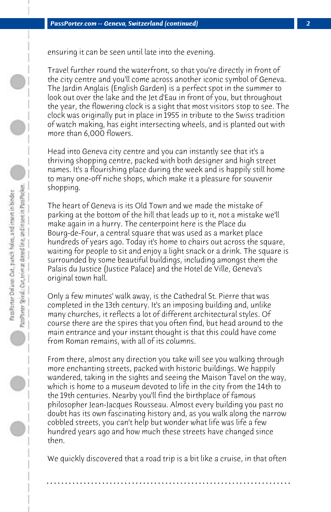ensuring it can be seen until late into the evening.

Travel further round the waterfront, so that you're directly in front of the city centre and you'll come across another iconic symbol of Geneva. The Jardin Anglais (English Garden) is a perfect spot in the summer to look out over the lake and the Jet d'Eau in front of you, but throughout the year, the flowering clock is a sight that most visitors stop to see. The clock was originally put in place in 1955 in tribute to the Swiss tradition of watch making, has eight intersecting wheels, and is planted out with more than 6,000 flowers.

Head into Geneva city centre and you can instantly see that it's a thriving shopping centre, packed with both designer and high street names. It's a flourishing place during the week and is happily still home to many one-off niche shops, which make it a pleasure for souvenir shopping.

The heart of Geneva is its Old Town and we made the mistake of parking at the bottom of the hill that leads up to it, not a mistake we'll make again in a hurry. The centerpoint here is the Place du Bourg-de-Four, a central square that was used as a market place hundreds of years ago. Today it's home to chairs out across the square, waiting for people to sit and enjoy a light snack or a drink. The square is surrounded by some beautiful buildings, including amongst them the Palais du Justice (Justice Palace) and the Hotel de Ville, Geneva's original town hall.

Only a few minutes' walk away, is the Cathedral St. Pierre that was completed in the 13th century. It's an imposing building and, unlike many churches, it reflects a lot of different architectural styles. Of course there are the spires that you often find, but head around to the main entrance and your instant thought is that this could have come from Roman remains, with all of its columns.

From there, almost any direction you take will see you walking through more enchanting streets, packed with historic buildings. We happily wandered, taking in the sights and seeing the Maison Tavel on the way, which is home to a museum devoted to life in the city from the 14th to the 19th centuries. Nearby you'll find the birthplace of famous philosopher Jean-Jacques Rousseau. Almost every building you past no doubt has its own fascinating history and, as you walk along the narrow cobbled streets, you can't help but wonder what life was life a few hundred years ago and how much these streets have changed since then.

We quickly discovered that a road trip is a bit like a cruise, in that often

**. . . . . . . . . . . . . . . . . . . . . . . . . . . . . . . . . . . . . . . . . . . . . . . . . . . . . . . . . . . . . . . . . .**

## PassPorter Spiral: Car, trim at dotted line, and insert in Pass Pocket. Pass Porter Deluxe: Out, punch holes, and insert in binder